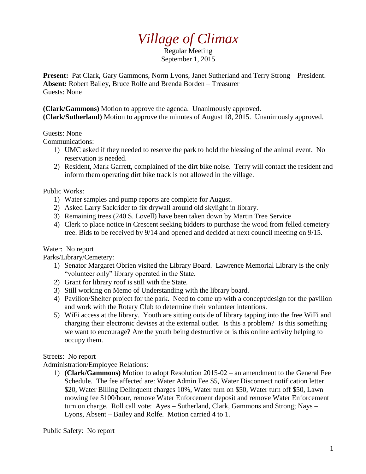# *Village of Climax*

Regular Meeting September 1, 2015

**Present:** Pat Clark, Gary Gammons, Norm Lyons, Janet Sutherland and Terry Strong – President. **Absent:** Robert Bailey, Bruce Rolfe and Brenda Borden – Treasurer Guests: None

**(Clark/Gammons)** Motion to approve the agenda. Unanimously approved. **(Clark/Sutherland)** Motion to approve the minutes of August 18, 2015. Unanimously approved.

### Guests: None

Communications:

- 1) UMC asked if they needed to reserve the park to hold the blessing of the animal event. No reservation is needed.
- 2) Resident, Mark Garrett, complained of the dirt bike noise. Terry will contact the resident and inform them operating dirt bike track is not allowed in the village.

## Public Works:

- 1) Water samples and pump reports are complete for August.
- 2) Asked Larry Sackrider to fix drywall around old skylight in library.
- 3) Remaining trees (240 S. Lovell) have been taken down by Martin Tree Service
- 4) Clerk to place notice in Crescent seeking bidders to purchase the wood from felled cemetery tree. Bids to be received by 9/14 and opened and decided at next council meeting on 9/15.

## Water: No report

Parks/Library/Cemetery:

- 1) Senator Margaret Obrien visited the Library Board. Lawrence Memorial Library is the only "volunteer only" library operated in the State.
- 2) Grant for library roof is still with the State.
- 3) Still working on Memo of Understanding with the library board.
- 4) Pavilion/Shelter project for the park. Need to come up with a concept/design for the pavilion and work with the Rotary Club to determine their volunteer intentions.
- 5) WiFi access at the library. Youth are sitting outside of library tapping into the free WiFi and charging their electronic devises at the external outlet. Is this a problem? Is this something we want to encourage? Are the youth being destructive or is this online activity helping to occupy them.

## Streets: No report

Administration/Employee Relations:

1) **(Clark/Gammons)** Motion to adopt Resolution 2015-02 – an amendment to the General Fee Schedule. The fee affected are: Water Admin Fee \$5, Water Disconnect notification letter \$20, Water Billing Delinquent charges 10%, Water turn on \$50, Water turn off \$50, Lawn mowing fee \$100/hour, remove Water Enforcement deposit and remove Water Enforcement turn on charge. Roll call vote: Ayes – Sutherland, Clark, Gammons and Strong; Nays – Lyons, Absent – Bailey and Rolfe. Motion carried 4 to 1.

Public Safety: No report